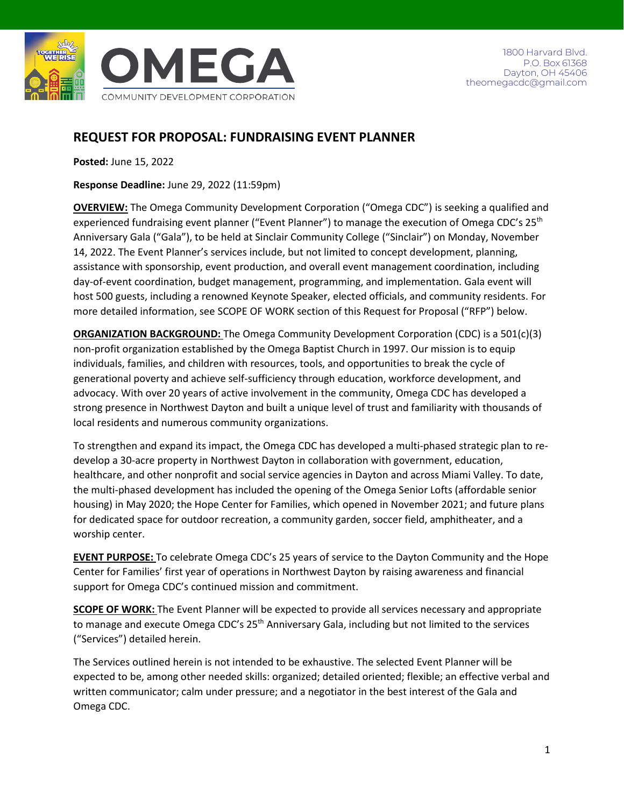

# **REQUEST FOR PROPOSAL: FUNDRAISING EVENT PLANNER**

**Posted:** June 15, 2022

**Response Deadline:** June 29, 2022 (11:59pm)

**OVERVIEW:** The Omega Community Development Corporation ("Omega CDC") is seeking a qualified and experienced fundraising event planner ("Event Planner") to manage the execution of Omega CDC's 25<sup>th</sup> Anniversary Gala ("Gala"), to be held at Sinclair Community College ("Sinclair") on Monday, November 14, 2022. The Event Planner's services include, but not limited to concept development, planning, assistance with sponsorship, event production, and overall event management coordination, including day-of-event coordination, budget management, programming, and implementation. Gala event will host 500 guests, including a renowned Keynote Speaker, elected officials, and community residents. For more detailed information, see SCOPE OF WORK section of this Request for Proposal ("RFP") below.

**ORGANIZATION BACKGROUND:** The Omega Community Development Corporation (CDC) is a 501(c)(3) non-profit organization established by the Omega Baptist Church in 1997. Our mission is to equip individuals, families, and children with resources, tools, and opportunities to break the cycle of generational poverty and achieve self-sufficiency through education, workforce development, and advocacy. With over 20 years of active involvement in the community, Omega CDC has developed a strong presence in Northwest Dayton and built a unique level of trust and familiarity with thousands of local residents and numerous community organizations.

To strengthen and expand its impact, the Omega CDC has developed a multi-phased strategic plan to redevelop a 30-acre property in Northwest Dayton in collaboration with government, education, healthcare, and other nonprofit and social service agencies in Dayton and across Miami Valley. To date, the multi-phased development has included the opening of the Omega Senior Lofts (affordable senior housing) in May 2020; the Hope Center for Families, which opened in November 2021; and future plans for dedicated space for outdoor recreation, a community garden, soccer field, amphitheater, and a worship center.

**EVENT PURPOSE:** To celebrate Omega CDC's 25 years of service to the Dayton Community and the Hope Center for Families' first year of operations in Northwest Dayton by raising awareness and financial support for Omega CDC's continued mission and commitment.

**SCOPE OF WORK:** The Event Planner will be expected to provide all services necessary and appropriate to manage and execute Omega CDC's 25<sup>th</sup> Anniversary Gala, including but not limited to the services ("Services") detailed herein.

The Services outlined herein is not intended to be exhaustive. The selected Event Planner will be expected to be, among other needed skills: organized; detailed oriented; flexible; an effective verbal and written communicator; calm under pressure; and a negotiator in the best interest of the Gala and Omega CDC.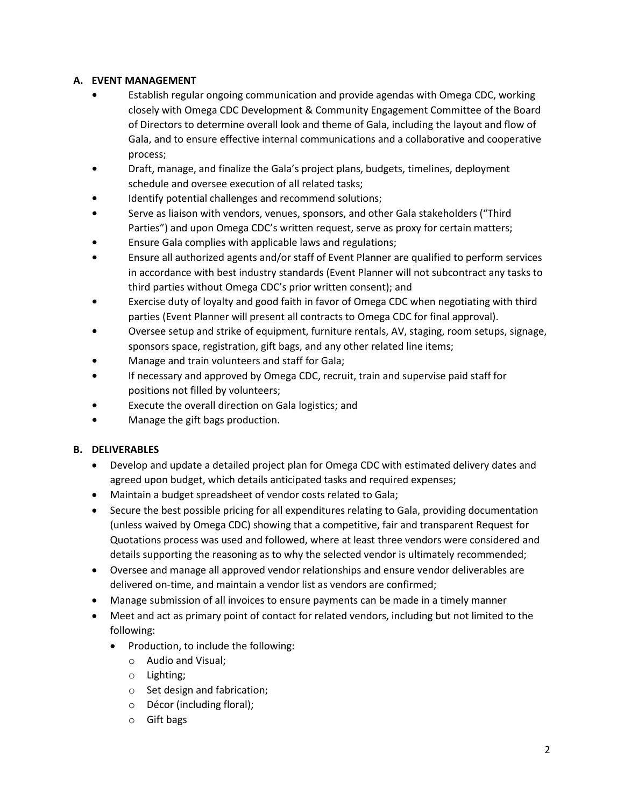# **A. EVENT MANAGEMENT**

- **•** Establish regular ongoing communication and provide agendas with Omega CDC, working closely with Omega CDC Development & Community Engagement Committee of the Board of Directors to determine overall look and theme of Gala, including the layout and flow of Gala, and to ensure effective internal communications and a collaborative and cooperative process;
- **•** Draft, manage, and finalize the Gala's project plans, budgets, timelines, deployment schedule and oversee execution of all related tasks;
- **•** Identify potential challenges and recommend solutions;
- **•** Serve as liaison with vendors, venues, sponsors, and other Gala stakeholders ("Third Parties") and upon Omega CDC's written request, serve as proxy for certain matters;
- **•** Ensure Gala complies with applicable laws and regulations;
- **•** Ensure all authorized agents and/or staff of Event Planner are qualified to perform services in accordance with best industry standards (Event Planner will not subcontract any tasks to third parties without Omega CDC's prior written consent); and
- **•** Exercise duty of loyalty and good faith in favor of Omega CDC when negotiating with third parties (Event Planner will present all contracts to Omega CDC for final approval).
- **•** Oversee setup and strike of equipment, furniture rentals, AV, staging, room setups, signage, sponsors space, registration, gift bags, and any other related line items;
- **•** Manage and train volunteers and staff for Gala;
- **•** If necessary and approved by Omega CDC, recruit, train and supervise paid staff for positions not filled by volunteers;
- **•** Execute the overall direction on Gala logistics; and
- **•** Manage the gift bags production.

## **B. DELIVERABLES**

- Develop and update a detailed project plan for Omega CDC with estimated delivery dates and agreed upon budget, which details anticipated tasks and required expenses;
- Maintain a budget spreadsheet of vendor costs related to Gala;
- Secure the best possible pricing for all expenditures relating to Gala, providing documentation (unless waived by Omega CDC) showing that a competitive, fair and transparent Request for Quotations process was used and followed, where at least three vendors were considered and details supporting the reasoning as to why the selected vendor is ultimately recommended;
- Oversee and manage all approved vendor relationships and ensure vendor deliverables are delivered on-time, and maintain a vendor list as vendors are confirmed;
- Manage submission of all invoices to ensure payments can be made in a timely manner
- Meet and act as primary point of contact for related vendors, including but not limited to the following:
	- Production, to include the following:
		- o Audio and Visual;
		- o Lighting;
		- o Set design and fabrication;
		- o Décor (including floral);
		- o Gift bags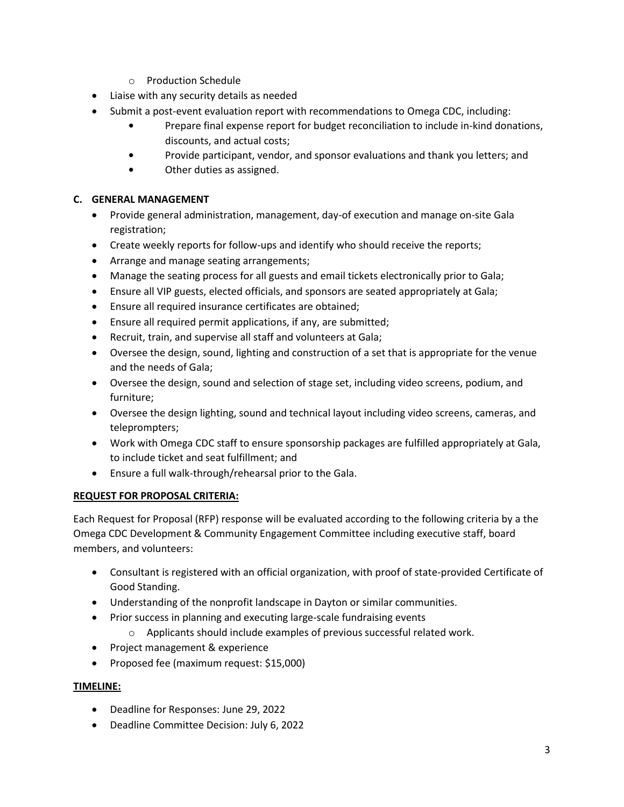- o Production Schedule
- Liaise with any security details as needed
- Submit a post-event evaluation report with recommendations to Omega CDC, including:
	- **•** Prepare final expense report for budget reconciliation to include in-kind donations, discounts, and actual costs;
	- **•** Provide participant, vendor, and sponsor evaluations and thank you letters; and
	- **•** Other duties as assigned.

# **C. GENERAL MANAGEMENT**

- Provide general administration, management, day-of execution and manage on-site Gala registration;
- Create weekly reports for follow-ups and identify who should receive the reports;
- Arrange and manage seating arrangements;
- Manage the seating process for all guests and email tickets electronically prior to Gala;
- Ensure all VIP guests, elected officials, and sponsors are seated appropriately at Gala;
- Ensure all required insurance certificates are obtained;
- Ensure all required permit applications, if any, are submitted;
- Recruit, train, and supervise all staff and volunteers at Gala;
- Oversee the design, sound, lighting and construction of a set that is appropriate for the venue and the needs of Gala;
- Oversee the design, sound and selection of stage set, including video screens, podium, and furniture;
- Oversee the design lighting, sound and technical layout including video screens, cameras, and teleprompters;
- Work with Omega CDC staff to ensure sponsorship packages are fulfilled appropriately at Gala, to include ticket and seat fulfillment; and
- Ensure a full walk-through/rehearsal prior to the Gala.

## **REQUEST FOR PROPOSAL CRITERIA:**

Each Request for Proposal (RFP) response will be evaluated according to the following criteria by a the Omega CDC Development & Community Engagement Committee including executive staff, board members, and volunteers:

- Consultant is registered with an official organization, with proof of state-provided Certificate of Good Standing.
- Understanding of the nonprofit landscape in Dayton or similar communities.
- Prior success in planning and executing large-scale fundraising events
	- o Applicants should include examples of previous successful related work.
- Project management & experience
- Proposed fee (maximum request: \$15,000)

## **TIMELINE:**

- Deadline for Responses: June 29, 2022
- Deadline Committee Decision: July 6, 2022